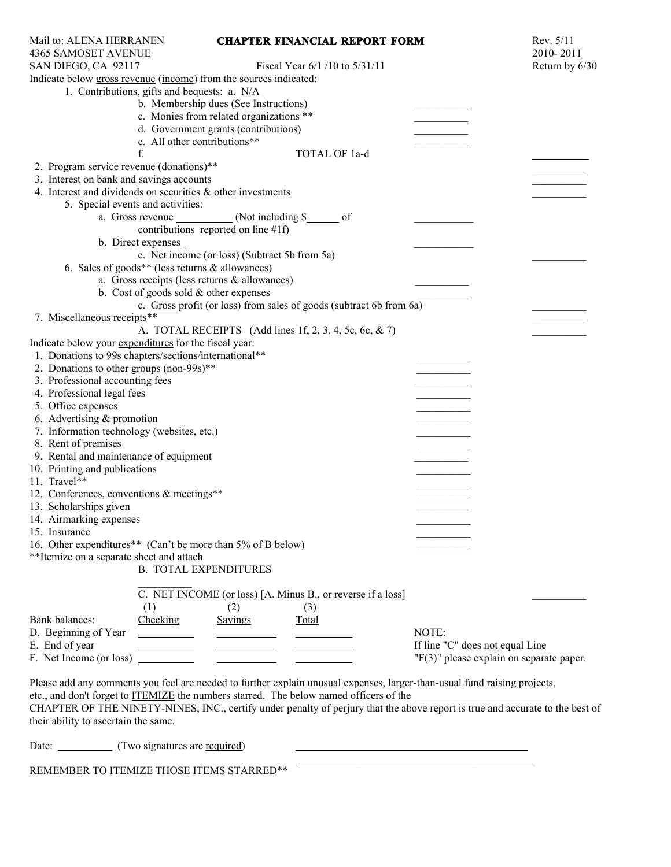| Mail to: ALENA HERRANEN<br><b>4365 SAMOSET AVENUE</b>             |                                                                     |                                                | <b>CHAPTER FINANCIAL REPORT FORM</b>                                                                                                                                                  |       | Rev. 5/11<br>2010-2011                     |
|-------------------------------------------------------------------|---------------------------------------------------------------------|------------------------------------------------|---------------------------------------------------------------------------------------------------------------------------------------------------------------------------------------|-------|--------------------------------------------|
| SAN DIEGO, CA 92117                                               |                                                                     |                                                | Fiscal Year 6/1 /10 to 5/31/11                                                                                                                                                        |       | Return by 6/30                             |
| Indicate below gross revenue (income) from the sources indicated: |                                                                     |                                                |                                                                                                                                                                                       |       |                                            |
|                                                                   | 1. Contributions, gifts and bequests: a. N/A                        |                                                |                                                                                                                                                                                       |       |                                            |
|                                                                   |                                                                     | b. Membership dues (See Instructions)          |                                                                                                                                                                                       |       |                                            |
|                                                                   |                                                                     | c. Monies from related organizations **        |                                                                                                                                                                                       |       |                                            |
|                                                                   |                                                                     | d. Government grants (contributions)           |                                                                                                                                                                                       |       |                                            |
|                                                                   | e. All other contributions**                                        |                                                |                                                                                                                                                                                       |       |                                            |
|                                                                   | f.                                                                  |                                                | TOTAL OF 1a-d                                                                                                                                                                         |       |                                            |
| 2. Program service revenue (donations)**                          |                                                                     |                                                |                                                                                                                                                                                       |       |                                            |
| 3. Interest on bank and savings accounts                          |                                                                     |                                                |                                                                                                                                                                                       |       |                                            |
| 4. Interest and dividends on securities $\&$ other investments    |                                                                     |                                                |                                                                                                                                                                                       |       |                                            |
|                                                                   | 5. Special events and activities:                                   |                                                |                                                                                                                                                                                       |       |                                            |
|                                                                   |                                                                     | a. Gross revenue ___________ (Not including \$ |                                                                                                                                                                                       |       |                                            |
|                                                                   |                                                                     |                                                |                                                                                                                                                                                       |       |                                            |
|                                                                   |                                                                     | contributions reported on line $#1f$ )         |                                                                                                                                                                                       |       |                                            |
|                                                                   | b. Direct expenses                                                  |                                                |                                                                                                                                                                                       |       |                                            |
|                                                                   |                                                                     | c. Net income (or loss) (Subtract 5b from 5a)  |                                                                                                                                                                                       |       |                                            |
|                                                                   | 6. Sales of goods** (less returns & allowances)                     |                                                |                                                                                                                                                                                       |       |                                            |
|                                                                   |                                                                     | a. Gross receipts (less returns & allowances)  |                                                                                                                                                                                       |       |                                            |
|                                                                   | b. Cost of goods sold $&$ other expenses                            |                                                |                                                                                                                                                                                       |       |                                            |
|                                                                   |                                                                     |                                                | c. Gross profit (or loss) from sales of goods (subtract 6b from 6a)                                                                                                                   |       |                                            |
| 7. Miscellaneous receipts**                                       |                                                                     |                                                |                                                                                                                                                                                       |       |                                            |
|                                                                   |                                                                     |                                                | A. TOTAL RECEIPTS (Add lines 1f, 2, 3, 4, 5c, 6c, & 7)                                                                                                                                |       |                                            |
| Indicate below your expenditures for the fiscal year:             |                                                                     |                                                |                                                                                                                                                                                       |       |                                            |
| 1. Donations to 99s chapters/sections/international**             |                                                                     |                                                |                                                                                                                                                                                       |       |                                            |
| 2. Donations to other groups (non-99s)**                          |                                                                     |                                                |                                                                                                                                                                                       |       |                                            |
| 3. Professional accounting fees                                   |                                                                     |                                                |                                                                                                                                                                                       |       |                                            |
| 4. Professional legal fees                                        |                                                                     |                                                |                                                                                                                                                                                       |       |                                            |
| 5. Office expenses                                                |                                                                     |                                                |                                                                                                                                                                                       |       |                                            |
| 6. Advertising & promotion                                        |                                                                     |                                                |                                                                                                                                                                                       |       |                                            |
| 7. Information technology (websites, etc.)                        |                                                                     |                                                |                                                                                                                                                                                       |       |                                            |
| 8. Rent of premises                                               |                                                                     |                                                |                                                                                                                                                                                       |       |                                            |
| 9. Rental and maintenance of equipment                            |                                                                     |                                                |                                                                                                                                                                                       |       |                                            |
| 10. Printing and publications                                     |                                                                     |                                                |                                                                                                                                                                                       |       |                                            |
| 11. Travel**                                                      |                                                                     |                                                |                                                                                                                                                                                       |       |                                            |
| 12. Conferences, conventions & meetings**                         |                                                                     |                                                |                                                                                                                                                                                       |       |                                            |
| 13. Scholarships given                                            |                                                                     |                                                |                                                                                                                                                                                       |       |                                            |
| 14. Airmarking expenses                                           |                                                                     |                                                |                                                                                                                                                                                       |       |                                            |
| 15. Insurance                                                     |                                                                     |                                                |                                                                                                                                                                                       |       |                                            |
| 16. Other expenditures** (Can't be more than 5% of B below)       |                                                                     |                                                |                                                                                                                                                                                       |       |                                            |
| **Itemize on a separate sheet and attach                          |                                                                     |                                                |                                                                                                                                                                                       |       |                                            |
|                                                                   | <b>B. TOTAL EXPENDITURES</b>                                        |                                                |                                                                                                                                                                                       |       |                                            |
|                                                                   |                                                                     |                                                |                                                                                                                                                                                       |       |                                            |
|                                                                   |                                                                     |                                                | C. NET INCOME (or loss) [A. Minus B., or reverse if a loss]                                                                                                                           |       |                                            |
|                                                                   | (1)                                                                 | (2)                                            | (3)                                                                                                                                                                                   |       |                                            |
| Bank balances:                                                    | Checking                                                            | Savings                                        | Total                                                                                                                                                                                 |       |                                            |
| D. Beginning of Year                                              | $\overline{\phantom{a}}$ . The contract of $\overline{\phantom{a}}$ |                                                |                                                                                                                                                                                       | NOTE: |                                            |
| E. End of year                                                    |                                                                     | If line "C" does not equal Line                |                                                                                                                                                                                       |       |                                            |
| F. Net Income (or loss)<br><u>and the state of the state</u>      |                                                                     |                                                |                                                                                                                                                                                       |       | $"F(3)"$ please explain on separate paper. |
|                                                                   |                                                                     |                                                |                                                                                                                                                                                       |       |                                            |
|                                                                   |                                                                     |                                                | Please add any comments you feel are needed to further explain unusual expenses, larger-than-usual fund raising projects,                                                             |       |                                            |
|                                                                   |                                                                     |                                                | etc., and don't forget to <u>ITEMIZE</u> the numbers starred. The below named officers of the<br>CUARTER OF THE NINETY NINES. INC., eartify and as a scaling of position that the cha |       |                                            |

CHAPTER OF THE NINETY-NINES, INC., certify under penalty of perjury that the above report is true and accurate to the best of their ability to ascertain the same.

| Date<br>(Two signatures are required)     |  |
|-------------------------------------------|--|
|                                           |  |
| REMEMBER TO ITEMIZE THOSE ITEMS STARRED** |  |